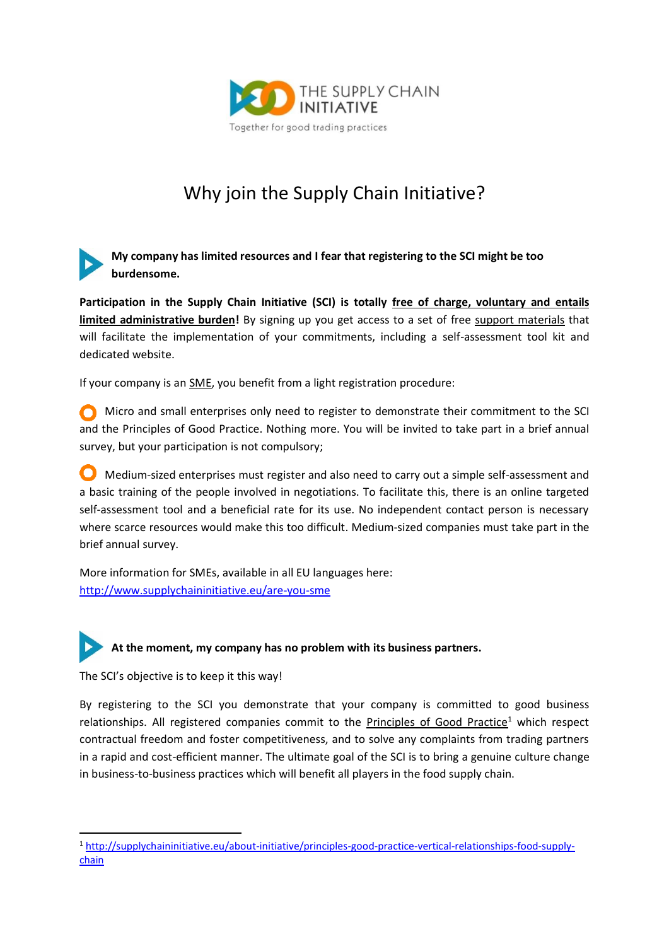

## Why join the Supply Chain Initiative?

**My company has limited resources and I fear that registering to the SCI might be too burdensome.**

**Participation in the Supply Chain Initiative (SCI) is totally free of charge, voluntary and entails limited administrative burden!** By signing up you get access to a set of free support materials that will facilitate the implementation of your commitments, including a self-assessment tool kit and dedicated website.

If your company is an SME, you benefit from a light registration procedure:

Micro and small enterprises only need to register to demonstrate their commitment to the SCI and the Principles of Good Practice. Nothing more. You will be invited to take part in a brief annual survey, but your participation is not compulsory;

**O** Medium-sized enterprises must register and also need to carry out a simple self-assessment and a basic training of the people involved in negotiations. To facilitate this, there is an online targeted self-assessment tool and a beneficial rate for its use. No independent contact person is necessary where scarce resources would make this too difficult. Medium-sized companies must take part in the brief annual survey.

More information for SMEs, available in all EU languages here: <http://www.supplychaininitiative.eu/are-you-sme>

## **At the moment, my company has no problem with its business partners.**

The SCI's objective is to keep it this way!

l

By registering to the SCI you demonstrate that your company is committed to good business relationships. All registered companies commit to the Principles of Good Practice<sup>1</sup> which respect contractual freedom and foster competitiveness, and to solve any complaints from trading partners in a rapid and cost-efficient manner. The ultimate goal of the SCI is to bring a genuine culture change in business-to-business practices which will benefit all players in the food supply chain.

<sup>1</sup> [http://supplychaininitiative.eu/about-initiative/principles-good-practice-vertical-relationships-food-supply](http://supplychaininitiative.eu/about-initiative/principles-good-practice-vertical-relationships-food-supply-chain)[chain](http://supplychaininitiative.eu/about-initiative/principles-good-practice-vertical-relationships-food-supply-chain)